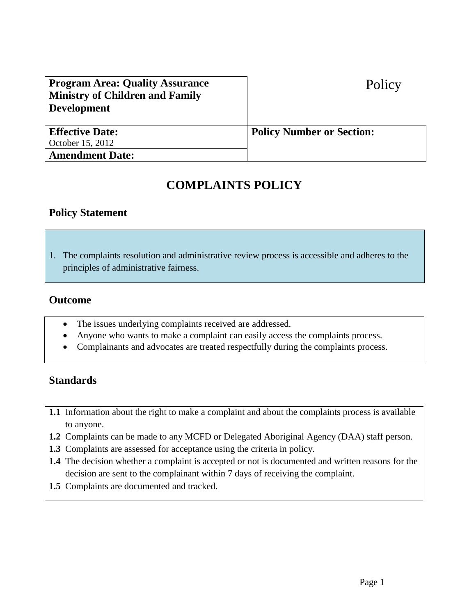| <b>Program Area: Quality Assurance</b> | Policy                           |
|----------------------------------------|----------------------------------|
| <b>Ministry of Children and Family</b> |                                  |
| <b>Development</b>                     |                                  |
|                                        |                                  |
| <b>Effective Date:</b>                 | <b>Policy Number or Section:</b> |
| October 15, 2012                       |                                  |
| <b>Amendment Date:</b>                 |                                  |

# **COMPLAINTS POLICY**

## **Policy Statement**

1. The complaints resolution and administrative review process is accessible and adheres to the principles of administrative fairness.

## **Outcome**

- The issues underlying complaints received are addressed.
- Anyone who wants to make a complaint can easily access the complaints process.
- Complainants and advocates are treated respectfully during the complaints process.

# **Standards**

- **1.1** Information about the right to make a complaint and about the complaints process is available to anyone.
- **1.2** Complaints can be made to any MCFD or Delegated Aboriginal Agency (DAA) staff person.
- **1.3** Complaints are assessed for acceptance using the criteria in policy.
- **1.4** The decision whether a complaint is accepted or not is documented and written reasons for the decision are sent to the complainant within 7 days of receiving the complaint.
- **1.5** Complaints are documented and tracked.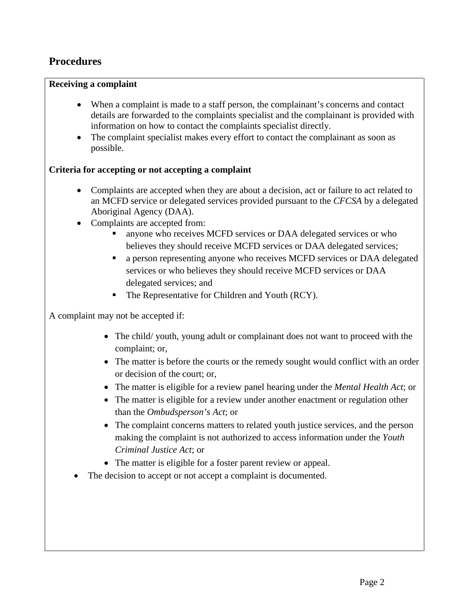# **Procedures**

### **Receiving a complaint**

- When a complaint is made to a staff person, the complainant's concerns and contact details are forwarded to the complaints specialist and the complainant is provided with information on how to contact the complaints specialist directly.
- The complaint specialist makes every effort to contact the complainant as soon as possible.

### **Criteria for accepting or not accepting a complaint**

- Complaints are accepted when they are about a decision, act or failure to act related to an MCFD service or delegated services provided pursuant to the *CFCSA* by a delegated Aboriginal Agency (DAA).
- Complaints are accepted from:
	- anyone who receives MCFD services or DAA delegated services or who believes they should receive MCFD services or DAA delegated services;
	- a person representing anyone who receives MCFD services or DAA delegated services or who believes they should receive MCFD services or DAA delegated services; and
	- The Representative for Children and Youth (RCY).

A complaint may not be accepted if:

- The child/ youth, young adult or complainant does not want to proceed with the complaint; or,
- The matter is before the courts or the remedy sought would conflict with an order or decision of the court; or,
- The matter is eligible for a review panel hearing under the *Mental Health Act*; or
- The matter is eligible for a review under another enactment or regulation other than the *Ombudsperson's Act*; or
- The complaint concerns matters to related youth justice services*,* and the person making the complaint is not authorized to access information under the *Youth Criminal Justice Act*; or
- The matter is eligible for a foster parent review or appeal.
- The decision to accept or not accept a complaint is documented.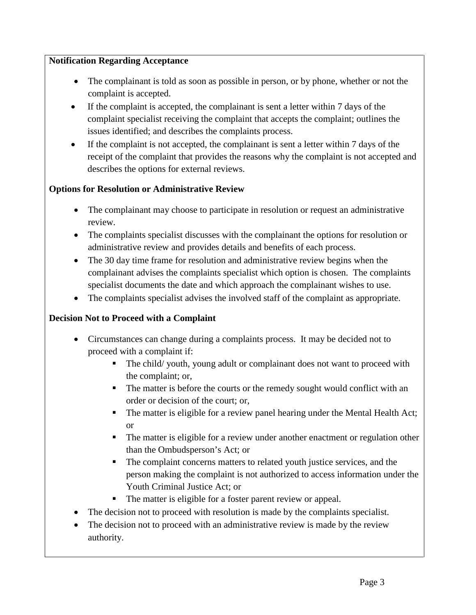## **Notification Regarding Acceptance**

- The complainant is told as soon as possible in person, or by phone, whether or not the complaint is accepted.
- If the complaint is accepted, the complainant is sent a letter within 7 days of the complaint specialist receiving the complaint that accepts the complaint; outlines the issues identified; and describes the complaints process.
- If the complaint is not accepted, the complainant is sent a letter within 7 days of the receipt of the complaint that provides the reasons why the complaint is not accepted and describes the options for external reviews.

## **Options for Resolution or Administrative Review**

- The complainant may choose to participate in resolution or request an administrative review.
- The complaints specialist discusses with the complainant the options for resolution or administrative review and provides details and benefits of each process.
- The 30 day time frame for resolution and administrative review begins when the complainant advises the complaints specialist which option is chosen. The complaints specialist documents the date and which approach the complainant wishes to use.
- The complaints specialist advises the involved staff of the complaint as appropriate.

## **Decision Not to Proceed with a Complaint**

- Circumstances can change during a complaints process. It may be decided not to proceed with a complaint if:
	- The child/ youth, young adult or complainant does not want to proceed with the complaint; or,
	- The matter is before the courts or the remedy sought would conflict with an order or decision of the court; or,
	- The matter is eligible for a review panel hearing under the Mental Health Act; or
	- The matter is eligible for a review under another enactment or regulation other than the Ombudsperson's Act; or
	- The complaint concerns matters to related youth justice services, and the person making the complaint is not authorized to access information under the Youth Criminal Justice Act; or
	- The matter is eligible for a foster parent review or appeal.
- The decision not to proceed with resolution is made by the complaints specialist.
- The decision not to proceed with an administrative review is made by the review authority.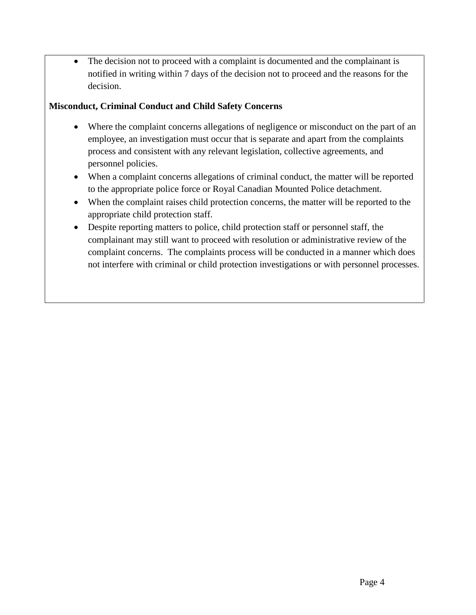• The decision not to proceed with a complaint is documented and the complainant is notified in writing within 7 days of the decision not to proceed and the reasons for the decision.

## **Misconduct, Criminal Conduct and Child Safety Concerns**

- Where the complaint concerns allegations of negligence or misconduct on the part of an employee, an investigation must occur that is separate and apart from the complaints process and consistent with any relevant legislation, collective agreements, and personnel policies.
- When a complaint concerns allegations of criminal conduct, the matter will be reported to the appropriate police force or Royal Canadian Mounted Police detachment.
- When the complaint raises child protection concerns, the matter will be reported to the appropriate child protection staff.
- Despite reporting matters to police, child protection staff or personnel staff, the complainant may still want to proceed with resolution or administrative review of the complaint concerns. The complaints process will be conducted in a manner which does not interfere with criminal or child protection investigations or with personnel processes.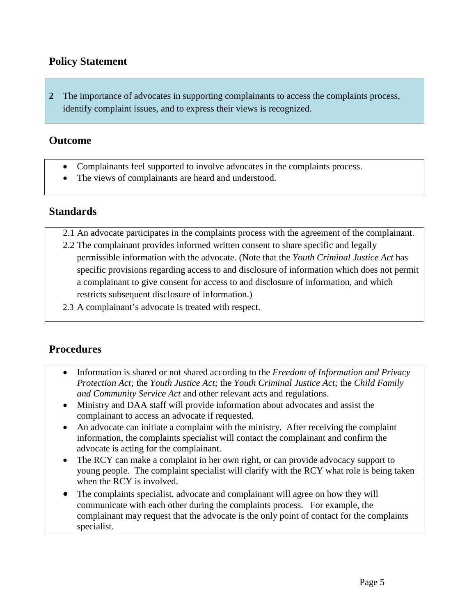# **Policy Statement**

**2** The importance of advocates in supporting complainants to access the complaints process, identify complaint issues, and to express their views is recognized.

## **Outcome**

- Complainants feel supported to involve advocates in the complaints process.
- The views of complainants are heard and understood.

# **Standards**

- 2.1 An advocate participates in the complaints process with the agreement of the complainant.
- 2.2 The complainant provides informed written consent to share specific and legally permissible information with the advocate. (Note that the *Youth Criminal Justice Act* has specific provisions regarding access to and disclosure of information which does not permit a complainant to give consent for access to and disclosure of information, and which restricts subsequent disclosure of information.)
- 2.3 A complainant's advocate is treated with respect.

# **Procedures**

- Information is shared or not shared according to the *Freedom of Information and Privacy Protection Act;* the *Youth Justice Act;* the *Youth Criminal Justice Act;* the *Child Family and Community Service Act* and other relevant acts and regulations.
- Ministry and DAA staff will provide information about advocates and assist the complainant to access an advocate if requested.
- An advocate can initiate a complaint with the ministry. After receiving the complaint information, the complaints specialist will contact the complainant and confirm the advocate is acting for the complainant.
- The RCY can make a complaint in her own right, or can provide advocacy support to young people. The complaint specialist will clarify with the RCY what role is being taken when the RCY is involved.
- The complaints specialist, advocate and complainant will agree on how they will communicate with each other during the complaints process. For example, the complainant may request that the advocate is the only point of contact for the complaints specialist.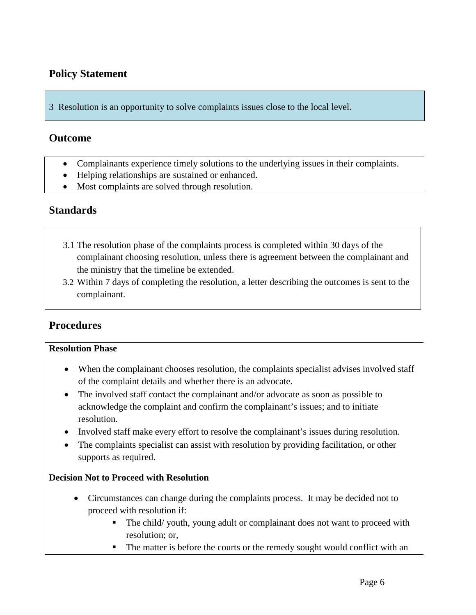# **Policy Statement**

3 Resolution is an opportunity to solve complaints issues close to the local level.

## **Outcome**

- Complainants experience timely solutions to the underlying issues in their complaints.
- Helping relationships are sustained or enhanced.
- Most complaints are solved through resolution.

## **Standards**

- 3.1 The resolution phase of the complaints process is completed within 30 days of the complainant choosing resolution, unless there is agreement between the complainant and the ministry that the timeline be extended.
- 3.2 Within 7 days of completing the resolution, a letter describing the outcomes is sent to the complainant.

# **Procedures**

### **Resolution Phase**

- When the complainant chooses resolution, the complaints specialist advises involved staff of the complaint details and whether there is an advocate.
- The involved staff contact the complainant and/or advocate as soon as possible to acknowledge the complaint and confirm the complainant's issues; and to initiate resolution.
- Involved staff make every effort to resolve the complainant's issues during resolution.
- The complaints specialist can assist with resolution by providing facilitation, or other supports as required.

### **Decision Not to Proceed with Resolution**

- Circumstances can change during the complaints process. It may be decided not to proceed with resolution if:
	- The child/ youth, young adult or complainant does not want to proceed with resolution; or,
	- The matter is before the courts or the remedy sought would conflict with an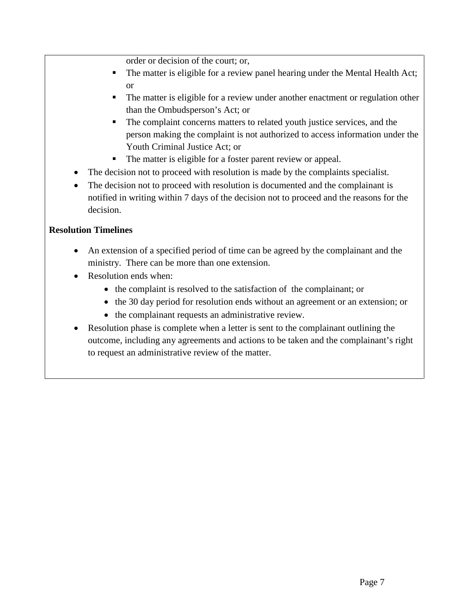order or decision of the court; or,

- The matter is eligible for a review panel hearing under the Mental Health Act; or
- The matter is eligible for a review under another enactment or regulation other than the Ombudsperson's Act; or
- The complaint concerns matters to related youth justice services, and the person making the complaint is not authorized to access information under the Youth Criminal Justice Act; or
- The matter is eligible for a foster parent review or appeal.
- The decision not to proceed with resolution is made by the complaints specialist.
- The decision not to proceed with resolution is documented and the complainant is notified in writing within 7 days of the decision not to proceed and the reasons for the decision.

## **Resolution Timelines**

- An extension of a specified period of time can be agreed by the complainant and the ministry. There can be more than one extension.
- Resolution ends when:
	- the complaint is resolved to the satisfaction of the complainant; or
	- the 30 day period for resolution ends without an agreement or an extension; or
	- the complainant requests an administrative review.
- Resolution phase is complete when a letter is sent to the complainant outlining the outcome, including any agreements and actions to be taken and the complainant's right to request an administrative review of the matter.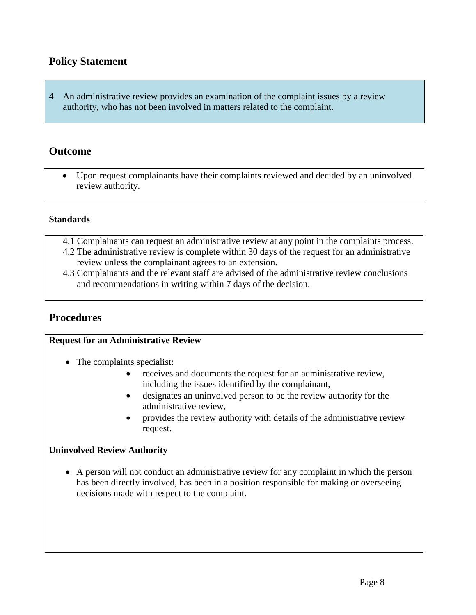# **Policy Statement**

4 An administrative review provides an examination of the complaint issues by a review authority, who has not been involved in matters related to the complaint.

## **Outcome**

• Upon request complainants have their complaints reviewed and decided by an uninvolved review authority.

### **Standards**

- 4.1 Complainants can request an administrative review at any point in the complaints process.
- 4.2 The administrative review is complete within 30 days of the request for an administrative review unless the complainant agrees to an extension.
- 4.3 Complainants and the relevant staff are advised of the administrative review conclusions and recommendations in writing within 7 days of the decision.

# **Procedures**

### **Request for an Administrative Review**

- The complaints specialist:
	- receives and documents the request for an administrative review, including the issues identified by the complainant,
	- designates an uninvolved person to be the review authority for the administrative review,
	- provides the review authority with details of the administrative review request.

### **Uninvolved Review Authority**

• A person will not conduct an administrative review for any complaint in which the person has been directly involved, has been in a position responsible for making or overseeing decisions made with respect to the complaint.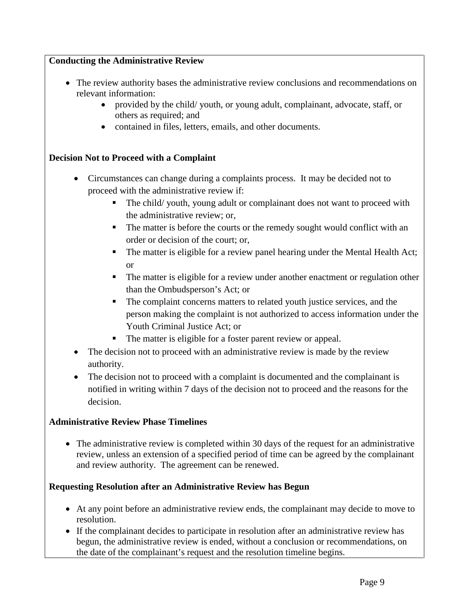## **Conducting the Administrative Review**

- The review authority bases the administrative review conclusions and recommendations on relevant information:
	- provided by the child/ youth, or young adult, complainant, advocate, staff, or others as required; and
	- contained in files, letters, emails, and other documents.

### **Decision Not to Proceed with a Complaint**

- Circumstances can change during a complaints process. It may be decided not to proceed with the administrative review if:
	- The child/ youth, young adult or complainant does not want to proceed with the administrative review; or,
	- The matter is before the courts or the remedy sought would conflict with an order or decision of the court; or,
	- The matter is eligible for a review panel hearing under the Mental Health Act; or
	- The matter is eligible for a review under another enactment or regulation other than the Ombudsperson's Act; or
	- The complaint concerns matters to related youth justice services, and the person making the complaint is not authorized to access information under the Youth Criminal Justice Act; or
	- The matter is eligible for a foster parent review or appeal.
- The decision not to proceed with an administrative review is made by the review authority.
- The decision not to proceed with a complaint is documented and the complainant is notified in writing within 7 days of the decision not to proceed and the reasons for the decision.

### **Administrative Review Phase Timelines**

• The administrative review is completed within 30 days of the request for an administrative review, unless an extension of a specified period of time can be agreed by the complainant and review authority. The agreement can be renewed.

## **Requesting Resolution after an Administrative Review has Begun**

- At any point before an administrative review ends, the complainant may decide to move to resolution.
- If the complainant decides to participate in resolution after an administrative review has begun, the administrative review is ended, without a conclusion or recommendations, on the date of the complainant's request and the resolution timeline begins.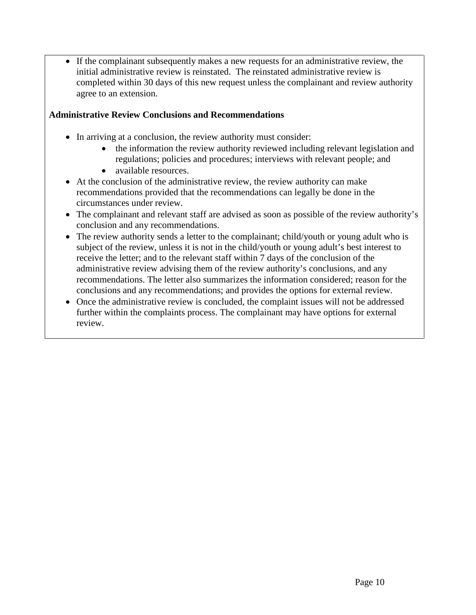• If the complainant subsequently makes a new requests for an administrative review, the initial administrative review is reinstated. The reinstated administrative review is completed within 30 days of this new request unless the complainant and review authority agree to an extension.

## **Administrative Review Conclusions and Recommendations**

- In arriving at a conclusion, the review authority must consider:
	- the information the review authority reviewed including relevant legislation and regulations; policies and procedures; interviews with relevant people; and
	- available resources.
- At the conclusion of the administrative review, the review authority can make recommendations provided that the recommendations can legally be done in the circumstances under review.
- The complainant and relevant staff are advised as soon as possible of the review authority's conclusion and any recommendations.
- The review authority sends a letter to the complainant; child/youth or young adult who is subject of the review, unless it is not in the child/youth or young adult's best interest to receive the letter; and to the relevant staff within 7 days of the conclusion of the administrative review advising them of the review authority's conclusions, and any recommendations. The letter also summarizes the information considered; reason for the conclusions and any recommendations; and provides the options for external review.
- Once the administrative review is concluded, the complaint issues will not be addressed further within the complaints process. The complainant may have options for external review.